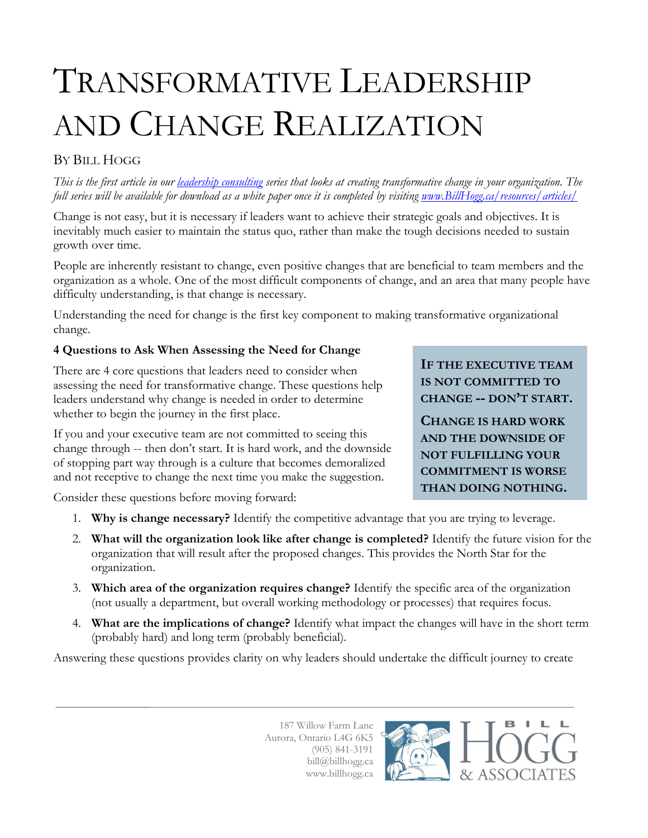# TRANSFORMATIVE LEADERSHIP AND CHANGE REALIZATION

## BY BILL HOGG

*This is the first article in our [leadership consulting](http://www.billhogg.ca/consulting/leadership/) series that looks at creating transformative change in your organization. The full series will be available for download as a white paper once it is completed by visiting <u>www.BillHogg.ca/resources/articles</u>/* 

Change is not easy, but it is necessary if leaders want to achieve their strategic goals and objectives. It is inevitably much easier to maintain the status quo, rather than make the tough decisions needed to sustain growth over time.

People are inherently resistant to change, even positive changes that are beneficial to team members and the organization as a whole. One of the most difficult components of change, and an area that many people have difficulty understanding, is that change is necessary.

Understanding the need for change is the first key component to making transformative organizational change.

### **4 Questions to Ask When Assessing the Need for Change**

There are 4 core questions that leaders need to consider when assessing the need for transformative change. These questions help leaders understand why change is needed in order to determine whether to begin the journey in the first place.

If you and your executive team are not committed to seeing this change through -- then don't start. It is hard work, and the downside of stopping part way through is a culture that becomes demoralized and not receptive to change the next time you make the suggestion.

**IF THE EXECUTIVE TEAM IS NOT COMMITTED TO CHANGE -- DON'T START.**

**CHANGE IS HARD WORK AND THE DOWNSIDE OF NOT FULFILLING YOUR COMMITMENT IS WORSE THAN DOING NOTHING.**

> L Ы

Consider these questions before moving forward:

- 1. **Why is change necessary?** Identify the competitive advantage that you are trying to leverage.
- 2. **What will the organization look like after change is completed?** Identify the future vision for the organization that will result after the proposed changes. This provides the North Star for the organization.
- 3. **Which area of the organization requires change?** Identify the specific area of the organization (not usually a department, but overall working methodology or processes) that requires focus.
- 4. **What are the implications of change?** Identify what impact the changes will have in the short term (probably hard) and long term (probably beneficial).

Answering these questions provides clarity on why leaders should undertake the difficult journey to create

187 Willow Farm Lane Aurora, Ontario L4G 6K5 (905) 841-3191 bill@billhogg.ca www.billhogg.ca

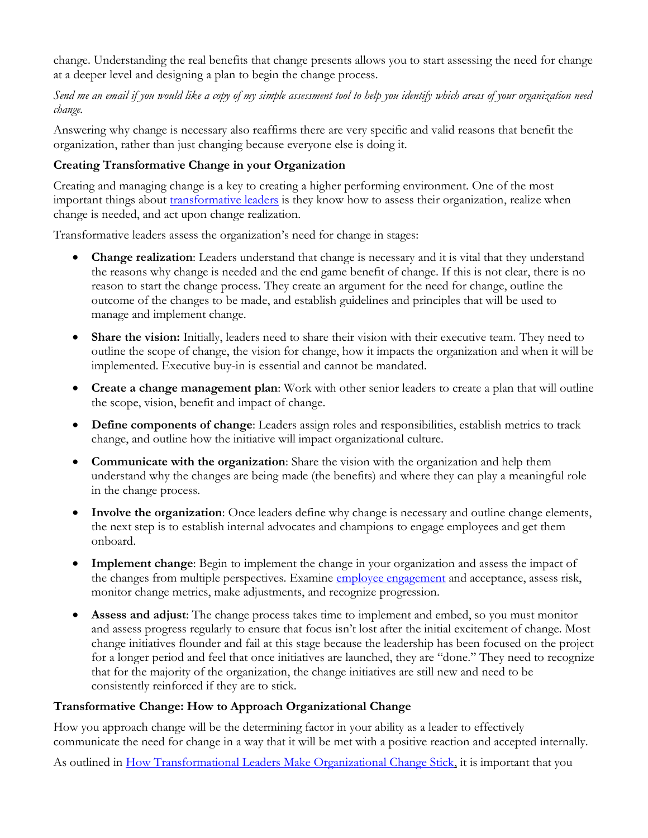change. Understanding the real benefits that change presents allows you to start assessing the need for change at a deeper level and designing a plan to begin the change process.

*Send me an email if you would like a copy of my simple assessment tool to help you identify which areas of your organization need change.*

Answering why change is necessary also reaffirms there are very specific and valid reasons that benefit the organization, rather than just changing because everyone else is doing it.

### **Creating Transformative Change in your Organization**

Creating and managing change is a key to creating a higher performing environment. One of the most important things about *transformative leaders* is they know how to assess their organization, realize when change is needed, and act upon change realization.

Transformative leaders assess the organization's need for change in stages:

- **Change realization**: Leaders understand that change is necessary and it is vital that they understand the reasons why change is needed and the end game benefit of change. If this is not clear, there is no reason to start the change process. They create an argument for the need for change, outline the outcome of the changes to be made, and establish guidelines and principles that will be used to manage and implement change.
- **Share the vision:** Initially, leaders need to share their vision with their executive team. They need to outline the scope of change, the vision for change, how it impacts the organization and when it will be implemented. Executive buy-in is essential and cannot be mandated.
- **Create a change management plan**: Work with other senior leaders to create a plan that will outline the scope, vision, benefit and impact of change.
- **Define components of change**: Leaders assign roles and responsibilities, establish metrics to track change, and outline how the initiative will impact organizational culture.
- **Communicate with the organization**: Share the vision with the organization and help them understand why the changes are being made (the benefits) and where they can play a meaningful role in the change process.
- **Involve the organization**: Once leaders define why change is necessary and outline change elements, the next step is to establish internal advocates and champions to engage employees and get them onboard.
- **Implement change**: Begin to implement the change in your organization and assess the impact of the changes from multiple perspectives. Examine [employee engagement](http://www.billhogg.ca/consulting/employee-engagement/) and acceptance, assess risk, monitor change metrics, make adjustments, and recognize progression.
- **Assess and adjust**: The change process takes time to implement and embed, so you must monitor and assess progress regularly to ensure that focus isn't lost after the initial excitement of change. Most change initiatives flounder and fail at this stage because the leadership has been focused on the project for a longer period and feel that once initiatives are launched, they are "done." They need to recognize that for the majority of the organization, the change initiatives are still new and need to be consistently reinforced if they are to stick.

### **Transformative Change: How to Approach Organizational Change**

How you approach change will be the determining factor in your ability as a leader to effectively communicate the need for change in a way that it will be met with a positive reaction and accepted internally.

As outlined in [How Transformational Leaders Make Organizational Change Stick,](http://www.billhogg.ca/2013/10/how-transformational-leaders-make-organizational-change-stick/) it is important that you